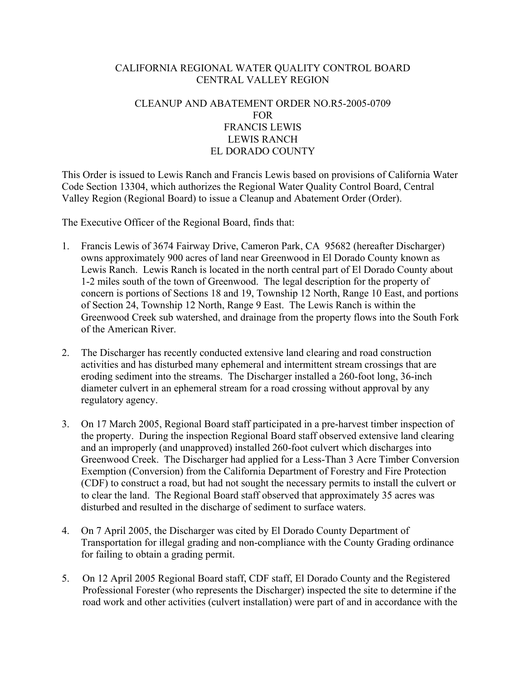## CALIFORNIA REGIONAL WATER QUALITY CONTROL BOARD CENTRAL VALLEY REGION

## CLEANUP AND ABATEMENT ORDER NO.R5-2005-0709 FOR FRANCIS LEWIS LEWIS RANCH EL DORADO COUNTY

This Order is issued to Lewis Ranch and Francis Lewis based on provisions of California Water Code Section 13304, which authorizes the Regional Water Quality Control Board, Central Valley Region (Regional Board) to issue a Cleanup and Abatement Order (Order).

The Executive Officer of the Regional Board, finds that:

- 1. Francis Lewis of 3674 Fairway Drive, Cameron Park, CA 95682 (hereafter Discharger) owns approximately 900 acres of land near Greenwood in El Dorado County known as Lewis Ranch. Lewis Ranch is located in the north central part of El Dorado County about 1-2 miles south of the town of Greenwood. The legal description for the property of concern is portions of Sections 18 and 19, Township 12 North, Range 10 East, and portions of Section 24, Township 12 North, Range 9 East. The Lewis Ranch is within the Greenwood Creek sub watershed, and drainage from the property flows into the South Fork of the American River.
- 2. The Discharger has recently conducted extensive land clearing and road construction activities and has disturbed many ephemeral and intermittent stream crossings that are eroding sediment into the streams. The Discharger installed a 260-foot long, 36-inch diameter culvert in an ephemeral stream for a road crossing without approval by any regulatory agency.
- 3. On 17 March 2005, Regional Board staff participated in a pre-harvest timber inspection of the property. During the inspection Regional Board staff observed extensive land clearing and an improperly (and unapproved) installed 260-foot culvert which discharges into Greenwood Creek. The Discharger had applied for a Less-Than 3 Acre Timber Conversion Exemption (Conversion) from the California Department of Forestry and Fire Protection (CDF) to construct a road, but had not sought the necessary permits to install the culvert or to clear the land. The Regional Board staff observed that approximately 35 acres was disturbed and resulted in the discharge of sediment to surface waters.
- 4. On 7 April 2005, the Discharger was cited by El Dorado County Department of Transportation for illegal grading and non-compliance with the County Grading ordinance for failing to obtain a grading permit.
- 5. On 12 April 2005 Regional Board staff, CDF staff, El Dorado County and the Registered Professional Forester (who represents the Discharger) inspected the site to determine if the road work and other activities (culvert installation) were part of and in accordance with the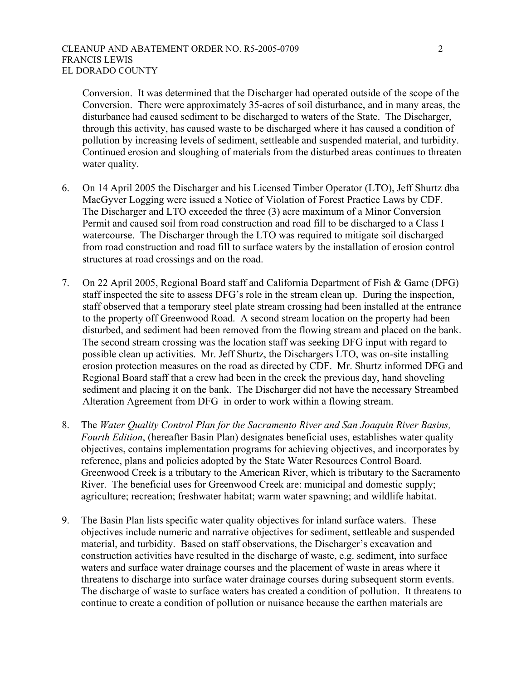## CLEANUP AND ABATEMENT ORDER NO. R5-2005-0709 2 FRANCIS LEWIS EL DORADO COUNTY

Conversion. It was determined that the Discharger had operated outside of the scope of the Conversion. There were approximately 35-acres of soil disturbance, and in many areas, the disturbance had caused sediment to be discharged to waters of the State. The Discharger, through this activity, has caused waste to be discharged where it has caused a condition of pollution by increasing levels of sediment, settleable and suspended material, and turbidity. Continued erosion and sloughing of materials from the disturbed areas continues to threaten water quality.

- 6. On 14 April 2005 the Discharger and his Licensed Timber Operator (LTO), Jeff Shurtz dba MacGyver Logging were issued a Notice of Violation of Forest Practice Laws by CDF. The Discharger and LTO exceeded the three (3) acre maximum of a Minor Conversion Permit and caused soil from road construction and road fill to be discharged to a Class I watercourse. The Discharger through the LTO was required to mitigate soil discharged from road construction and road fill to surface waters by the installation of erosion control structures at road crossings and on the road.
- 7. On 22 April 2005, Regional Board staff and California Department of Fish & Game (DFG) staff inspected the site to assess DFG's role in the stream clean up. During the inspection, staff observed that a temporary steel plate stream crossing had been installed at the entrance to the property off Greenwood Road. A second stream location on the property had been disturbed, and sediment had been removed from the flowing stream and placed on the bank. The second stream crossing was the location staff was seeking DFG input with regard to possible clean up activities. Mr. Jeff Shurtz, the Dischargers LTO, was on-site installing erosion protection measures on the road as directed by CDF. Mr. Shurtz informed DFG and Regional Board staff that a crew had been in the creek the previous day, hand shoveling sediment and placing it on the bank. The Discharger did not have the necessary Streambed Alteration Agreement from DFG in order to work within a flowing stream.
- 8. The *Water Quality Control Plan for the Sacramento River and San Joaquin River Basins, Fourth Edition*, (hereafter Basin Plan) designates beneficial uses, establishes water quality objectives, contains implementation programs for achieving objectives, and incorporates by reference, plans and policies adopted by the State Water Resources Control Board. Greenwood Creek is a tributary to the American River, which is tributary to the Sacramento River. The beneficial uses for Greenwood Creek are: municipal and domestic supply; agriculture; recreation; freshwater habitat; warm water spawning; and wildlife habitat.
- 9. The Basin Plan lists specific water quality objectives for inland surface waters. These objectives include numeric and narrative objectives for sediment, settleable and suspended material, and turbidity. Based on staff observations, the Discharger's excavation and construction activities have resulted in the discharge of waste, e.g. sediment, into surface waters and surface water drainage courses and the placement of waste in areas where it threatens to discharge into surface water drainage courses during subsequent storm events. The discharge of waste to surface waters has created a condition of pollution. It threatens to continue to create a condition of pollution or nuisance because the earthen materials are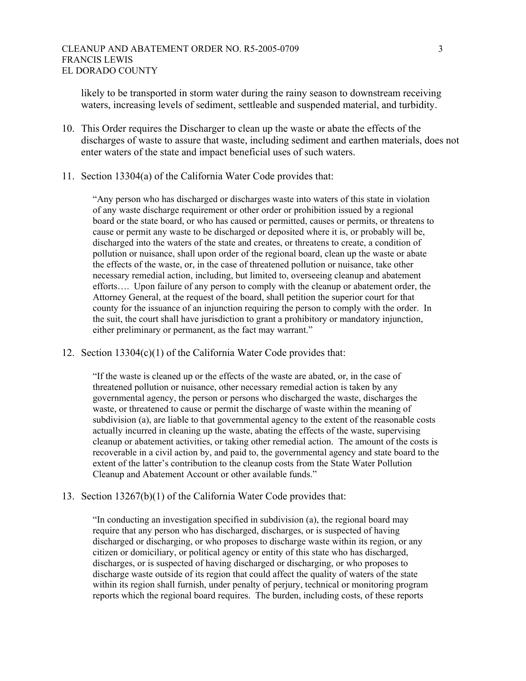likely to be transported in storm water during the rainy season to downstream receiving waters, increasing levels of sediment, settleable and suspended material, and turbidity.

- 10. This Order requires the Discharger to clean up the waste or abate the effects of the discharges of waste to assure that waste, including sediment and earthen materials, does not enter waters of the state and impact beneficial uses of such waters.
- 11. Section 13304(a) of the California Water Code provides that:

"Any person who has discharged or discharges waste into waters of this state in violation of any waste discharge requirement or other order or prohibition issued by a regional board or the state board, or who has caused or permitted, causes or permits, or threatens to cause or permit any waste to be discharged or deposited where it is, or probably will be, discharged into the waters of the state and creates, or threatens to create, a condition of pollution or nuisance, shall upon order of the regional board, clean up the waste or abate the effects of the waste, or, in the case of threatened pollution or nuisance, take other necessary remedial action, including, but limited to, overseeing cleanup and abatement efforts…. Upon failure of any person to comply with the cleanup or abatement order, the Attorney General, at the request of the board, shall petition the superior court for that county for the issuance of an injunction requiring the person to comply with the order. In the suit, the court shall have jurisdiction to grant a prohibitory or mandatory injunction, either preliminary or permanent, as the fact may warrant."

12. Section 13304(c)(1) of the California Water Code provides that:

"If the waste is cleaned up or the effects of the waste are abated, or, in the case of threatened pollution or nuisance, other necessary remedial action is taken by any governmental agency, the person or persons who discharged the waste, discharges the waste, or threatened to cause or permit the discharge of waste within the meaning of subdivision (a), are liable to that governmental agency to the extent of the reasonable costs actually incurred in cleaning up the waste, abating the effects of the waste, supervising cleanup or abatement activities, or taking other remedial action. The amount of the costs is recoverable in a civil action by, and paid to, the governmental agency and state board to the extent of the latter's contribution to the cleanup costs from the State Water Pollution Cleanup and Abatement Account or other available funds."

## 13. Section 13267(b)(1) of the California Water Code provides that:

"In conducting an investigation specified in subdivision (a), the regional board may require that any person who has discharged, discharges, or is suspected of having discharged or discharging, or who proposes to discharge waste within its region, or any citizen or domiciliary, or political agency or entity of this state who has discharged, discharges, or is suspected of having discharged or discharging, or who proposes to discharge waste outside of its region that could affect the quality of waters of the state within its region shall furnish, under penalty of perjury, technical or monitoring program reports which the regional board requires. The burden, including costs, of these reports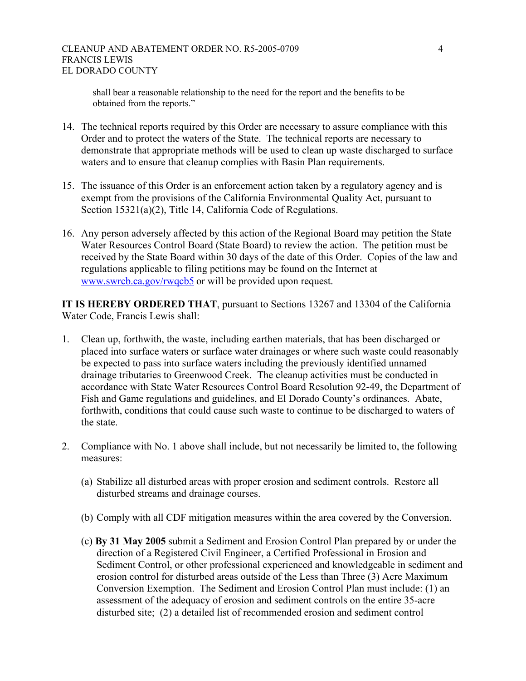shall bear a reasonable relationship to the need for the report and the benefits to be obtained from the reports."

- 14. The technical reports required by this Order are necessary to assure compliance with this Order and to protect the waters of the State. The technical reports are necessary to demonstrate that appropriate methods will be used to clean up waste discharged to surface waters and to ensure that cleanup complies with Basin Plan requirements.
- 15. The issuance of this Order is an enforcement action taken by a regulatory agency and is exempt from the provisions of the California Environmental Quality Act, pursuant to Section 15321(a)(2), Title 14, California Code of Regulations.
- 16. Any person adversely affected by this action of the Regional Board may petition the State Water Resources Control Board (State Board) to review the action. The petition must be received by the State Board within 30 days of the date of this Order. Copies of the law and regulations applicable to filing petitions may be found on the Internet at [www.swrcb.ca.gov/rwqcb5](http://www.swrcb.ca.gov/rwqcb5) or will be provided upon request.

**IT IS HEREBY ORDERED THAT**, pursuant to Sections 13267 and 13304 of the California Water Code, Francis Lewis shall:

- 1. Clean up, forthwith, the waste, including earthen materials, that has been discharged or placed into surface waters or surface water drainages or where such waste could reasonably be expected to pass into surface waters including the previously identified unnamed drainage tributaries to Greenwood Creek. The cleanup activities must be conducted in accordance with State Water Resources Control Board Resolution 92-49, the Department of Fish and Game regulations and guidelines, and El Dorado County's ordinances. Abate, forthwith, conditions that could cause such waste to continue to be discharged to waters of the state.
- 2. Compliance with No. 1 above shall include, but not necessarily be limited to, the following measures:
	- (a) Stabilize all disturbed areas with proper erosion and sediment controls. Restore all disturbed streams and drainage courses.
	- (b) Comply with all CDF mitigation measures within the area covered by the Conversion.
	- (c) **By 31 May 2005** submit a Sediment and Erosion Control Plan prepared by or under the direction of a Registered Civil Engineer, a Certified Professional in Erosion and Sediment Control, or other professional experienced and knowledgeable in sediment and erosion control for disturbed areas outside of the Less than Three (3) Acre Maximum Conversion Exemption. The Sediment and Erosion Control Plan must include: (1) an assessment of the adequacy of erosion and sediment controls on the entire 35-acre disturbed site; (2) a detailed list of recommended erosion and sediment control